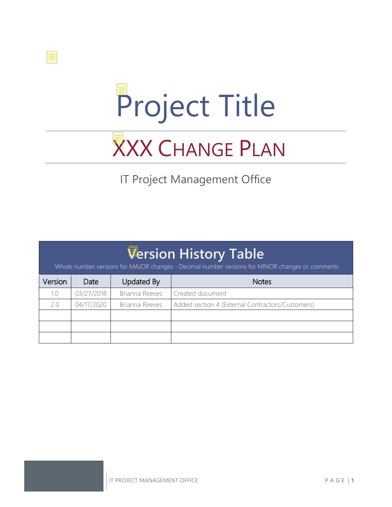

 $\equiv$ 

# **XXX CHANGE PLAN**

IT Project Management Office

## **Version History Table**

Whole number versions for MAJOR changes - Decimal number versions for MINOR changes or comments

| Version       | Date       | Updated By     | <b>Notes</b>                                     |
|---------------|------------|----------------|--------------------------------------------------|
| $1.0^{\circ}$ | 03/27/2018 | Brianna Reeves | Created document                                 |
| 2.0           | 04/17/2020 | Brianna Reeves | Added section 4 (External Contractors/Customers) |
|               |            |                |                                                  |
|               |            |                |                                                  |
|               |            |                |                                                  |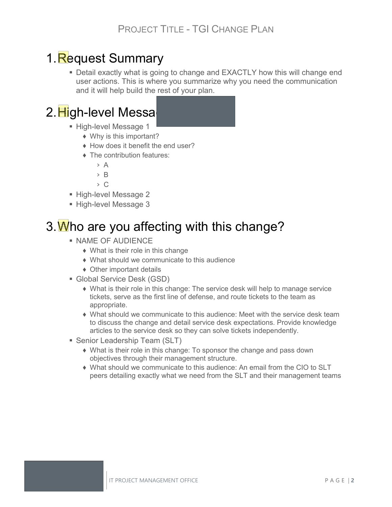## 1. Request Summary

 Detail exactly what is going to change and EXACTLY how this will change end user actions. This is where you summarize why you need the communication and it will help build the rest of your plan.

## 2. High-level Messa

- **High-level Message 1** 
	- ♦ Why is this important?
	- ♦ How does it benefit the end user?
	- ♦ The contribution features:
		- › A
		- › B
		- › C
- High-level Message 2
- High-level Message 3

#### 3. Who are you affecting with this change?

- **NAME OF AUDIFNCE** 
	- $\bullet$  What is their role in this change
	- ♦ What should we communicate to this audience
	- ♦ Other important details
- Global Service Desk (GSD)
	- ♦ What is their role in this change: The service desk will help to manage service tickets, serve as the first line of defense, and route tickets to the team as appropriate.
	- ♦ What should we communicate to this audience: Meet with the service desk team to discuss the change and detail service desk expectations. Provide knowledge articles to the service desk so they can solve tickets independently.
- Senior Leadership Team (SLT)
	- ♦ What is their role in this change: To sponsor the change and pass down objectives through their management structure.
	- ♦ What should we communicate to this audience: An email from the CIO to SLT peers detailing exactly what we need from the SLT and their management teams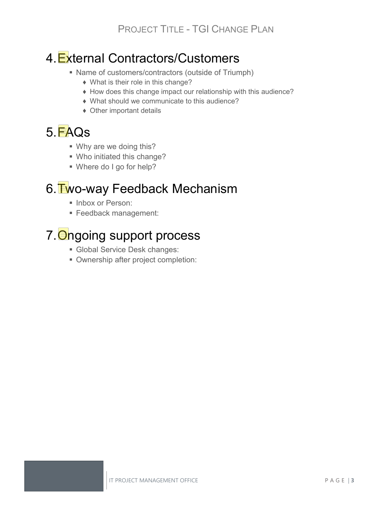#### 4. External Contractors/Customers

- Name of customers/contractors (outside of Triumph)
	- ♦ What is their role in this change?
	- ♦ How does this change impact our relationship with this audience?
	- ♦ What should we communicate to this audience?
	- ♦ Other important details

## 5.FAQs

- Why are we doing this?
- Who initiated this change?
- Where do I go for help?

## 6. **Fwo-way Feedback Mechanism**

- Inbox or Person:
- Feedback management:

## 7. Ongoing support process

- Global Service Desk changes:
- Ownership after project completion: